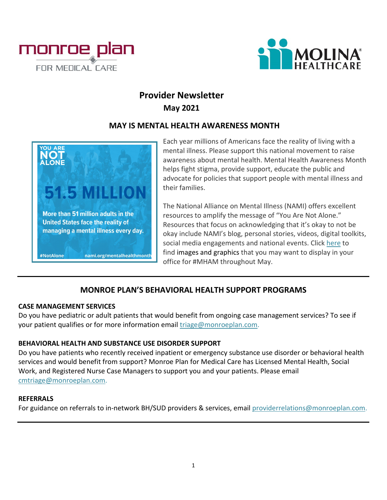



# **Provider Newsletter May 2021**

#### **MAY IS MENTAL HEALTH AWARENESS MONTH**



Each year millions of Americans face the reality of living with a mental illness. Please support this national movement to raise awareness about mental health. Mental Health Awareness Month helps fight stigma, provide support, educate the public and advocate for policies that support people with mental illness and their families.

The National Alliance on Mental Illness (NAMI) offers excellent resources to amplify the message of "You Are Not Alone." Resources that focus on acknowledging that it's okay to not be okay include NAMI's blog, personal stories, videos, digital toolkits, social media engagements and national events. Clic[k here](https://www.nami.org/Get-Involved/Awareness-Events/Awareness-Resources) to find images and graphics that you may want to display in your office for #MHAM throughout May.

#### **MONROE PLAN'S BEHAVIORAL HEALTH SUPPORT PROGRAMS**

#### **CASE MANAGEMENT SERVICES**

Do you have pediatric or adult patients that would benefit from ongoing case management services? To see if your patient qualifies or for more information email [triage@monroeplan.com.](mailto:triage@monroeplan.com)

#### **BEHAVIORAL HEALTH AND SUBSTANCE USE DISORDER SUPPORT**

Do you have patients who recently received inpatient or emergency substance use disorder or behavioral health services and would benefit from support? Monroe Plan for Medical Care has Licensed Mental Health, Social Work, and Registered Nurse Case Managers to support you and your patients. Please email [cmtriage@monroeplan.com.](mailto:cmtriage@monroeplan.com)

#### **REFERRALS**

For guidance on referrals to in-network BH/SUD providers & services, email [providerrelations@monroeplan.com.](mailto:providerrelations@monroeplan.com)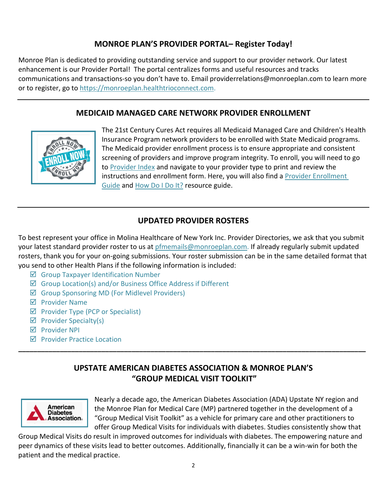### **MONROE PLAN'S PROVIDER PORTAL– Register Today!**

Monroe Plan is dedicated to providing outstanding service and support to our provider network. Our latest enhancement is our Provider Portal! The portal centralizes forms and useful resources and tracks communications and transactions-so you don't have to. Email providerrelations@monroeplan.com to learn more or to register, go to [https://monroeplan.healthtrioconnect.com.](https://monroeplan.healthtrioconnect.com/)

#### **MEDICAID MANAGED CARE NETWORK PROVIDER ENROLLMENT**



The 21st Century Cures Act requires all Medicaid Managed Care and Children's Health Insurance Program network providers to be enrolled with State Medicaid programs. The Medicaid provider enrollment process is to ensure appropriate and consistent screening of providers and improve program integrity. To enroll, you will need to go to [Provider Index](https://www.emedny.org/info/ProviderEnrollment/index.aspx) and navigate to your provider type to print and review the instructions and enrollment form. Here, you will also find a [Provider Enrollment](https://www.emedny.org/info/ProviderEnrollment/enrollguide.aspx)  [Guide](https://www.emedny.org/info/ProviderEnrollment/enrollguide.aspx) and [How Do I Do It?](https://www.emedny.org/info/ProviderEnrollment/HowDoIDo.pdf) resource guide.

#### **UPDATED PROVIDER ROSTERS**

To best represent your office in Molina Healthcare of New York Inc. Provider Directories, we ask that you submit your latest standard provider roster to us at [pfmemails@monroeplan.com.](mailto:pfmemails@monroeplan.com) If already regularly submit updated rosters, thank you for your on-going submissions. Your roster submission can be in the same detailed format that you send to other Health Plans if the following information is included:

- $\boxtimes$  Group Taxpayer Identification Number
- $\boxtimes$  Group Location(s) and/or Business Office Address if Different
- Group Sponsoring MD (For Midlevel Providers)
- $\nabla$  Provider Name
- $\boxtimes$  Provider Type (PCP or Specialist)
- $\boxtimes$  Provider Specialty(s)
- $\n *P* rowider  $\text{NPI}$ \n$
- $\nabla$  Provider Practice Location

## **UPSTATE AMERICAN DIABETES ASSOCIATION & MONROE PLAN'S "GROUP MEDICAL VISIT TOOLKIT"**

**\_\_\_\_\_\_\_\_\_\_\_\_\_\_\_\_\_\_\_\_\_\_\_\_\_\_\_\_\_\_\_\_\_\_\_\_\_\_\_\_\_\_\_\_\_\_\_\_\_\_\_\_\_\_\_\_\_\_\_\_\_\_\_\_\_\_\_\_\_\_\_\_\_\_\_\_\_\_\_\_\_\_\_\_\_\_\_\_\_\_\_\_**



Nearly a decade ago, the American Diabetes Association (ADA) Upstate NY region and the Monroe Plan for Medical Care (MP) partnered together in the development of a "Group Medical Visit Toolkit" as a vehicle for primary care and other practitioners to offer Group Medical Visits for individuals with diabetes. Studies consistently show that

Group Medical Visits do result in improved outcomes for individuals with diabetes. The empowering nature and peer dynamics of these visits lead to better outcomes. Additionally, financially it can be a win-win for both the patient and the medical practice.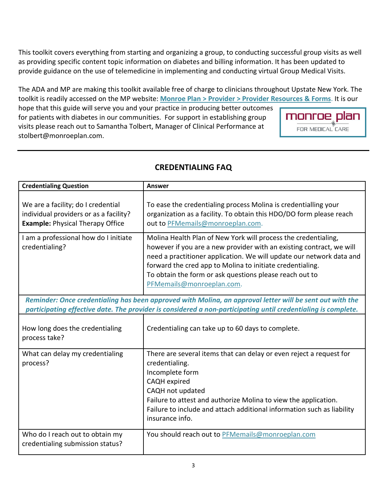This toolkit covers everything from starting and organizing a group, to conducting successful group visits as well as providing specific content topic information on diabetes and billing information. It has been updated to provide guidance on the use of telemedicine in implementing and conducting virtual Group Medical Visits.

The ADA and MP are making this toolkit available free of charge to clinicians throughout Upstate New York. The toolkit is readily accessed on the MP website: **[Monroe Plan > Provider > Provider Resources & Forms](http://www.monroeplan.com/Provider/Provider-Resources-Forms)**. It is our

hope that this guide will serve you and your practice in producing better outcomes for patients with diabetes in our communities. For support in establishing group visits please reach out to Samantha Tolbert, Manager of Clinical Performance at stolbert@monroeplan.com.



| <b>Credentialing Question</b>                                                                                                                                                                                             | <b>Answer</b>                                                                                                                                                                                                                                                                                                                                                       |
|---------------------------------------------------------------------------------------------------------------------------------------------------------------------------------------------------------------------------|---------------------------------------------------------------------------------------------------------------------------------------------------------------------------------------------------------------------------------------------------------------------------------------------------------------------------------------------------------------------|
| We are a facility; do I credential<br>individual providers or as a facility?<br><b>Example: Physical Therapy Office</b>                                                                                                   | To ease the credentialing process Molina is credentialling your<br>organization as a facility. To obtain this HDO/DO form please reach<br>out to PFMemails@monroeplan.com.                                                                                                                                                                                          |
| I am a professional how do I initiate<br>credentialing?                                                                                                                                                                   | Molina Health Plan of New York will process the credentialing,<br>however if you are a new provider with an existing contract, we will<br>need a practitioner application. We will update our network data and<br>forward the cred app to Molina to initiate credentialing.<br>To obtain the form or ask questions please reach out to<br>PFMemails@monroeplan.com. |
| Reminder: Once credentialing has been approved with Molina, an approval letter will be sent out with the<br>participating effective date. The provider is considered a non-participating until credentialing is complete. |                                                                                                                                                                                                                                                                                                                                                                     |
| How long does the credentialing<br>process take?                                                                                                                                                                          | Credentialing can take up to 60 days to complete.                                                                                                                                                                                                                                                                                                                   |
| What can delay my credentialing<br>process?                                                                                                                                                                               | There are several items that can delay or even reject a request for<br>credentialing.<br>Incomplete form<br>CAQH expired<br>CAQH not updated<br>Failure to attest and authorize Molina to view the application.<br>Failure to include and attach additional information such as liability<br>insurance info.                                                        |
| Who do I reach out to obtain my<br>credentialing submission status?                                                                                                                                                       | You should reach out to PFMemails@monroeplan.com                                                                                                                                                                                                                                                                                                                    |

## **CREDENTIALING FAQ**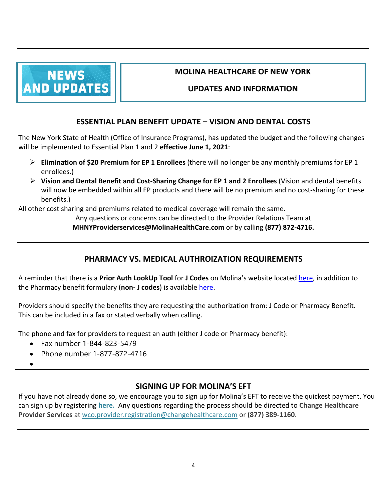

## **MOLINA HEALTHCARE OF NEW YORK**

#### **UPDATES AND INFORMATION**

### **ESSENTIAL PLAN BENEFIT UPDATE – VISION AND DENTAL COSTS**

The New York State of Health (Office of Insurance Programs), has updated the budget and the following changes will be implemented to Essential Plan 1 and 2 **effective June 1, 2021**:

- **Elimination of \$20 Premium for EP 1 Enrollees** (there will no longer be any monthly premiums for EP 1 enrollees.)
- **Vision and Dental Benefit and Cost-Sharing Change for EP 1 and 2 Enrollees** (Vision and dental benefits will now be embedded within all EP products and there will be no premium and no cost-sharing for these benefits.)

All other cost sharing and premiums related to medical coverage will remain the same.

Any questions or concerns can be directed to the Provider Relations Team at **[MHNYProviderservices@MolinaHealthCare.com](mailto:MHNYProviderservices@MolinaHealthCare.com)** or by calling **(877) 872-4716.**

## **PHARMACY VS. MEDICAL AUTHROIZATION REQUIREMENTS**

A reminder that there is a **Prior Auth LookUp Tool** for **J Codes** on Molina's website located [here,](https://www.molinahealthcare.com/members/ny/en-US/health-care-professionals/home.aspx) in addition to the Pharmacy benefit formulary (**non- J codes**) is available [here.](https://www.molinahealthcare.com/providers/ny/medicaid/drug/formulary.aspx)

Providers should specify the benefits they are requesting the authorization from: J Code or Pharmacy Benefit. This can be included in a fax or stated verbally when calling.

The phone and fax for providers to request an auth (either J code or Pharmacy benefit):

- Fax number 1-844-823-5479
- Phone number 1-877-872-4716
- •

## **SIGNING UP FOR MOLINA'S EFT**

If you have not already done so, we encourage you to sign up for Molina's EFT to receive the quickest payment. You can sign up by registering **[here.](https://providernet.adminisource.com/Start.aspx)** Any questions regarding the process should be directed to **Change Healthcare Provider Services** at [wco.provider.registration@changehealthcare.com](mailto:wco.provider.registration@changehealthcare.com) or **(877) 389-1160**.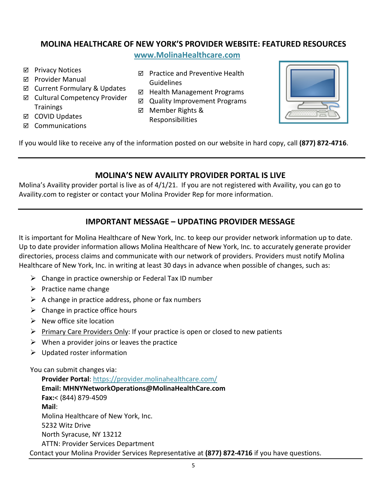### **MOLINA HEALTHCARE OF NEW YORK'S PROVIDER WEBSITE: FEATURED RESOURCES**

**[www.MolinaHealthcare.com](http://www.molinahealthcare.com/)**

- **Ø** Privacy Notices
- **Ø** Provider Manual
- $\boxtimes$  Current Formulary & Updates
- **Ø** Cultural Competency Provider **Trainings**
- **Ø** COVID Updates
- **Ø** Communications
- $\boxtimes$  Practice and Preventive Health Guidelines
- ⊠ Health Management Programs
- $\boxtimes$  Quality Improvement Programs
- **Ø** Member Rights & Responsibilities



If you would like to receive any of the information posted on our website in hard copy, call **(877) 872-4716**.

### **MOLINA'S NEW AVAILITY PROVIDER PORTAL IS LIVE**

Molina's Availity provider portal is live as of 4/1/21. If you are not registered with Availity, you can go to Availity.com to register or contact your Molina Provider Rep for more information.

## **IMPORTANT MESSAGE – UPDATING PROVIDER MESSAGE**

It is important for Molina Healthcare of New York, Inc. to keep our provider network information up to date. Up to date provider information allows Molina Healthcare of New York, Inc. to accurately generate provider directories, process claims and communicate with our network of providers. Providers must notify Molina Healthcare of New York, Inc. in writing at least 30 days in advance when possible of changes, such as:

- $\triangleright$  Change in practice ownership or Federal Tax ID number
- $\triangleright$  Practice name change
- $\triangleright$  A change in practice address, phone or fax numbers
- $\triangleright$  Change in practice office hours
- $\triangleright$  New office site location
- Primary Care Providers Only: If your practice is open or closed to new patients
- $\triangleright$  When a provider joins or leaves the practice
- $\triangleright$  Updated roster information

You can submit changes via:

**Provider Portal**:<https://provider.molinahealthcare.com/> **Email: MHNYNetworkOperations@MolinaHealthCare.com Fax:**< (844) 879-4509 **Mail**: Molina Healthcare of New York, Inc. 5232 Witz Drive North Syracuse, NY 13212 ATTN: Provider Services Department Contact your Molina Provider Services Representative at **(877) 872-4716** if you have questions.